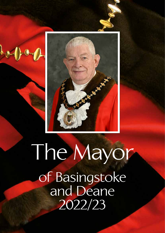

## The Mayor of Basingstoke and Deane 2022/23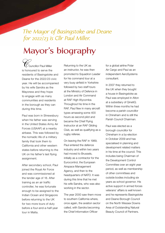*The Mayor of Basingstoke and Deane for 2022/23 is Cllr Paul Miller.* 

## **Mayor's biography**

 communities and residents  $D$ ouncillor Paul Miller is honoured to serve the residents of Basingstoke and Deane for the 2022/23 civic year. He will be accompanied by his wife Sandra as the Mayoress and they hope to engage with as many in the borough as they can during this time.

Paul was born in Shrewsbury when his father was serving in the United States Army Air Forces (USAAF) at a nearby airbase. This was followed by the nomadic life of a military family that took them to California and other western states before returning to the UK on his father's last flying assignment.

After secondary school, Paul joined the Royal Air Force and was commissioned at the tender age of 18. After training as an air traffic controller, he was fortunate enough to be assigned to the Indian Ocean and Singapore before returning to the UK for two more tours of duty before a four-and-a-half-year tour in Malta.

Returning to the UK as an instructor, he was then promoted to Squadron Leader for his command tour at a very busy airfield in Yorkshire followed by two staff tours at the Ministry of Defence in London and Air Command at RAF High Wycombe. Throughout his time in the RAF, Paul flew in many aircraft types amassing some 400 hours as second pilot and became the Chief Flying Instructor at an RAF Gliding Club, as well as qualifying as a rugby referee.

On leaving the RAF in 1989, Paul entered the defence industry and within two years had moved to Brussels, initially as a contractor for the Eurocontrol, the European Airspace Management Agency, and then to the headquarters of NATO. It was during this time that he met his wife Sandra, who was also working in the sector.

The year 2000 saw them move to southern California where, once again, the aviation sector called, with Sandra becoming the Chief Information Officer

for a global airline Polar Air Cargo and Paul as an independent AeroSystems consultant.

In 2007 they returned to the UK when they bought a house in Basingstoke as Paul was employed in Alton at a subsidiary of QinetiQ. Within three months he had become a parish councillor in Chineham and is still the Parish Council Chairman.

Paul was elected as a borough councillor for Chineham in a by-election in October 2009 and has specialised in planning and development related matters in his time at the council. This includes being Chairman of the Development Control Committee over an eight year period, as well as membership of other committees and outside bodies including six years as school governor. His active support in armed forces veterans' affairs is well known and he represents Basingstoke and Deane Borough Council on the North Wessex Downs Area of Outstanding Natural Beauty Council of Partners.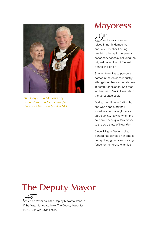

*The Mayor and Mayoress of Basingstoke and Deane 2022/23 Cllr Paul Miller and Sandra Miller.* 

## **Mayoress**

 secondary schools including the ,<br>andra was born and raised in north Hampshire and, after teacher training, taught mathematics in several original John Hunt of Everest School in Popley.

She left teaching to pursue a career in the defence industry after gaining her second degree in computer science. She then worked with Paul in Brussels in the aerospace sector.

 corporate headquarters moved During their time in California, she was appointed the IT Vice-President of a global air cargo airline, leaving when the to the cold state of New York.

 Since living in Basingstoke, Sandra has devoted her time to two quilting groups and raising funds for numerous charities.

## **The Deputy Mayor**

he Mayor asks the Deputy Mayor to stand in if the Mayor is not available. The Deputy Mayor for 2022/23 is Cllr David Leeks.